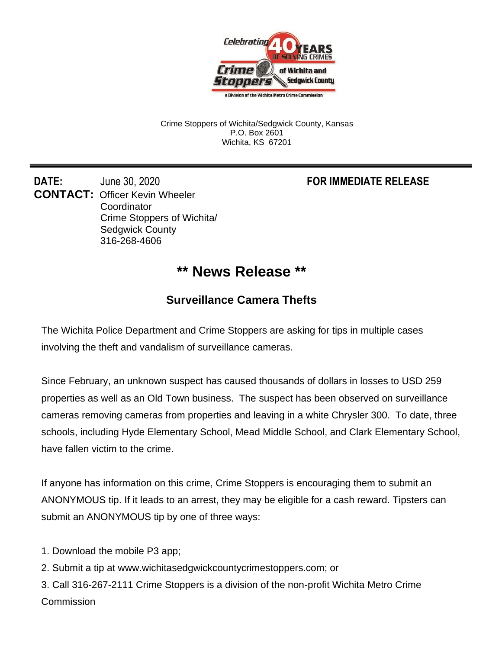

Crime Stoppers of Wichita/Sedgwick County, Kansas P.O. Box 2601 Wichita, KS 67201

**DATE:** June 30, 2020 **FOR IMMEDIATE RELEASE CONTACT:** Officer Kevin Wheeler **Coordinator** Crime Stoppers of Wichita/ Sedgwick County 316-268-4606

## **\*\* News Release \*\***

## **Surveillance Camera Thefts**

The Wichita Police Department and Crime Stoppers are asking for tips in multiple cases involving the theft and vandalism of surveillance cameras.

Since February, an unknown suspect has caused thousands of dollars in losses to USD 259 properties as well as an Old Town business. The suspect has been observed on surveillance cameras removing cameras from properties and leaving in a white Chrysler 300. To date, three schools, including Hyde Elementary School, Mead Middle School, and Clark Elementary School, have fallen victim to the crime.

If anyone has information on this crime, Crime Stoppers is encouraging them to submit an ANONYMOUS tip. If it leads to an arrest, they may be eligible for a cash reward. Tipsters can submit an ANONYMOUS tip by one of three ways:

- 1. Download the mobile P3 app;
- 2. Submit a tip at www.wichitasedgwickcountycrimestoppers.com; or
- 3. Call 316-267-2111 Crime Stoppers is a division of the non-profit Wichita Metro Crime **Commission**